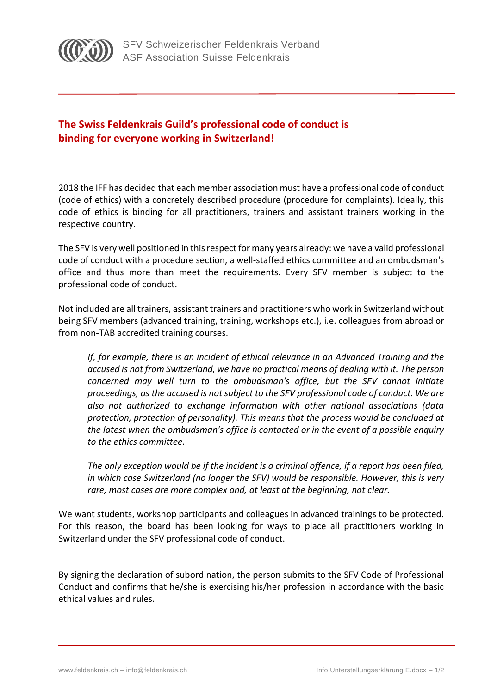

## **The Swiss Feldenkrais Guild's professional code of conduct is binding for everyone working in Switzerland!**

2018 the IFF has decided that each member association must have a professional code of conduct (code of ethics) with a concretely described procedure (procedure for complaints). Ideally, this code of ethics is binding for all practitioners, trainers and assistant trainers working in the respective country.

The SFV is very well positioned in this respect for many years already: we have a valid professional code of conduct with a procedure section, a well-staffed ethics committee and an ombudsman's office and thus more than meet the requirements. Every SFV member is subject to the professional code of conduct.

Not included are all trainers, assistant trainers and practitioners who work in Switzerland without being SFV members (advanced training, training, workshops etc.), i.e. colleagues from abroad or from non-TAB accredited training courses.

*If, for example, there is an incident of ethical relevance in an Advanced Training and the accused is not from Switzerland, we have no practical means of dealing with it. The person concerned may well turn to the ombudsman's office, but the SFV cannot initiate proceedings, as the accused is not subject to the SFV professional code of conduct. We are also not authorized to exchange information with other national associations (data protection, protection of personality). This means that the process would be concluded at the latest when the ombudsman's office is contacted or in the event of a possible enquiry to the ethics committee.*

*The only exception would be if the incident is a criminal offence, if a report has been filed, in which case Switzerland (no longer the SFV) would be responsible. However, this is very rare, most cases are more complex and, at least at the beginning, not clear.*

We want students, workshop participants and colleagues in advanced trainings to be protected. For this reason, the board has been looking for ways to place all practitioners working in Switzerland under the SFV professional code of conduct.

By signing the declaration of subordination, the person submits to the SFV Code of Professional Conduct and confirms that he/she is exercising his/her profession in accordance with the basic ethical values and rules.